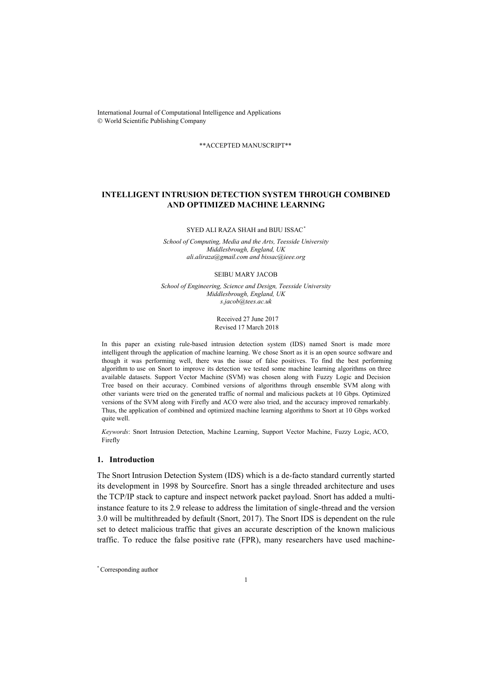International Journal of Computational Intelligence and Applications World Scientific Publishing Company

\*\*ACCEPTED MANUSCRIPT\*\*

# **INTELLIGENT INTRUSION DETECTION SYSTEM THROUGH COMBINED AND OPTIMIZED MACHINE LEARNING**

SYED ALI RAZA SHAH and BIJU ISSAC*\**

*School of Computing, Media and the Arts, Teesside University Middlesbrough, England, UK ali.aliraza@gmail.com and bissac@ieee.org* 

SEIBU MARY JACOB

*School of Engineering, Science and Design, Teesside University Middlesbrough, England, UK s.jacob@tees.ac.uk*

> Received 27 June 2017 Revised 17 March 2018

In this paper an existing rule-based intrusion detection system (IDS) named Snort is made more intelligent through the application of machine learning. We chose Snort as it is an open source software and though it was performing well, there was the issue of false positives. To find the best performing algorithm to use on Snort to improve its detection we tested some machine learning algorithms on three available datasets. Support Vector Machine (SVM) was chosen along with Fuzzy Logic and Decision Tree based on their accuracy. Combined versions of algorithms through ensemble SVM along with other variants were tried on the generated traffic of normal and malicious packets at 10 Gbps. Optimized versions of the SVM along with Firefly and ACO were also tried, and the accuracy improved remarkably. Thus, the application of combined and optimized machine learning algorithms to Snort at 10 Gbps worked quite well.

*Keywords*: Snort Intrusion Detection, Machine Learning, Support Vector Machine, Fuzzy Logic, ACO, Firefly

## **1. Introduction**

The Snort Intrusion Detection System (IDS) which is a de-facto standard currently started its development in 1998 by Sourcefire. Snort has a single threaded architecture and uses the TCP/IP stack to capture and inspect network packet payload. Snort has added a multiinstance feature to its 2.9 release to address the limitation of single-thread and the version 3.0 will be multithreaded by default (Snort, 2017). The Snort IDS is dependent on the rule set to detect malicious traffic that gives an accurate description of the known malicious traffic. To reduce the false positive rate (FPR), many researchers have used machine-

\*Corresponding author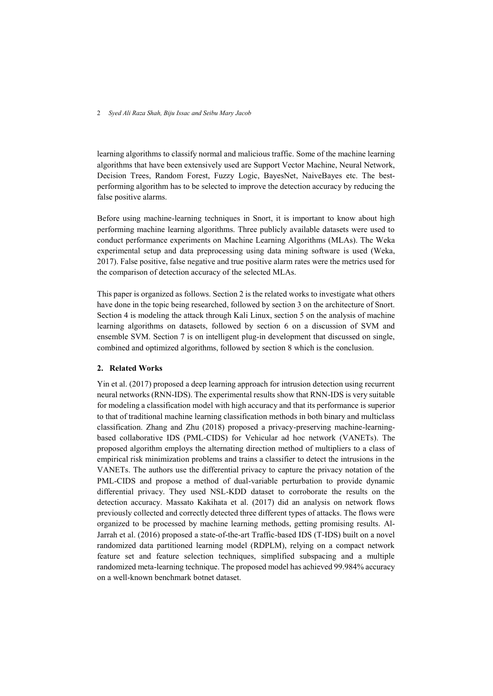learning algorithms to classify normal and malicious traffic. Some of the machine learning algorithms that have been extensively used are Support Vector Machine, Neural Network, Decision Trees, Random Forest, Fuzzy Logic, BayesNet, NaiveBayes etc. The bestperforming algorithm has to be selected to improve the detection accuracy by reducing the false positive alarms.

Before using machine-learning techniques in Snort, it is important to know about high performing machine learning algorithms. Three publicly available datasets were used to conduct performance experiments on Machine Learning Algorithms (MLAs). The Weka experimental setup and data preprocessing using data mining software is used (Weka, 2017). False positive, false negative and true positive alarm rates were the metrics used for the comparison of detection accuracy of the selected MLAs.

This paper is organized as follows. Section 2 is the related works to investigate what others have done in the topic being researched, followed by section 3 on the architecture of Snort. Section 4 is modeling the attack through Kali Linux, section 5 on the analysis of machine learning algorithms on datasets, followed by section 6 on a discussion of SVM and ensemble SVM. Section 7 is on intelligent plug-in development that discussed on single, combined and optimized algorithms, followed by section 8 which is the conclusion.

### **2. Related Works**

Yin et al. (2017) proposed a deep learning approach for intrusion detection using recurrent neural networks (RNN-IDS). The experimental results show that RNN-IDS is very suitable for modeling a classification model with high accuracy and that its performance is superior to that of traditional machine learning classification methods in both binary and multiclass classification. Zhang and Zhu (2018) proposed a privacy-preserving machine-learningbased collaborative IDS (PML-CIDS) for Vehicular ad hoc network (VANETs). The proposed algorithm employs the alternating direction method of multipliers to a class of empirical risk minimization problems and trains a classifier to detect the intrusions in the VANETs. The authors use the differential privacy to capture the privacy notation of the PML-CIDS and propose a method of dual-variable perturbation to provide dynamic differential privacy. They used NSL-KDD dataset to corroborate the results on the detection accuracy. Massato Kakihata et al. (2017) did an analysis on network flows previously collected and correctly detected three different types of attacks. The flows were organized to be processed by machine learning methods, getting promising results. Al-Jarrah et al. (2016) proposed a state-of-the-art Traffic-based IDS (T-IDS) built on a novel randomized data partitioned learning model (RDPLM), relying on a compact network feature set and feature selection techniques, simplified subspacing and a multiple randomized meta-learning technique. The proposed model has achieved 99.984% accuracy on a well-known benchmark botnet dataset.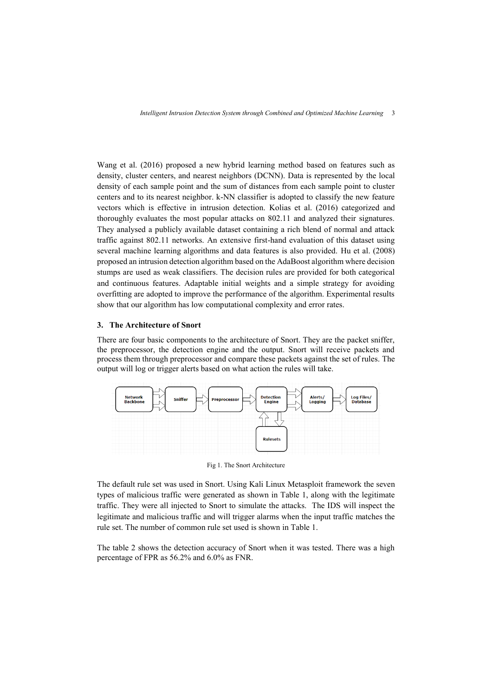Wang et al. (2016) proposed a new hybrid learning method based on features such as density, cluster centers, and nearest neighbors (DCNN). Data is represented by the local density of each sample point and the sum of distances from each sample point to cluster centers and to its nearest neighbor. k-NN classifier is adopted to classify the new feature vectors which is effective in intrusion detection. Kolias et al. (2016) categorized and thoroughly evaluates the most popular attacks on 802.11 and analyzed their signatures. They analysed a publicly available dataset containing a rich blend of normal and attack traffic against 802.11 networks. An extensive first-hand evaluation of this dataset using several machine learning algorithms and data features is also provided. Hu et al. (2008) proposed an intrusion detection algorithm based on the AdaBoost algorithm where decision stumps are used as weak classifiers. The decision rules are provided for both categorical and continuous features. Adaptable initial weights and a simple strategy for avoiding overfitting are adopted to improve the performance of the algorithm. Experimental results show that our algorithm has low computational complexity and error rates.

## **3. The Architecture of Snort**

There are four basic components to the architecture of Snort. They are the packet sniffer, the preprocessor, the detection engine and the output. Snort will receive packets and process them through preprocessor and compare these packets against the set of rules. The output will log or trigger alerts based on what action the rules will take.



Fig 1. The Snort Architecture

The default rule set was used in Snort. Using Kali Linux Metasploit framework the seven types of malicious traffic were generated as shown in Table 1, along with the legitimate traffic. They were all injected to Snort to simulate the attacks. The IDS will inspect the legitimate and malicious traffic and will trigger alarms when the input traffic matches the rule set. The number of common rule set used is shown in Table 1.

The table 2 shows the detection accuracy of Snort when it was tested. There was a high percentage of FPR as 56.2% and 6.0% as FNR.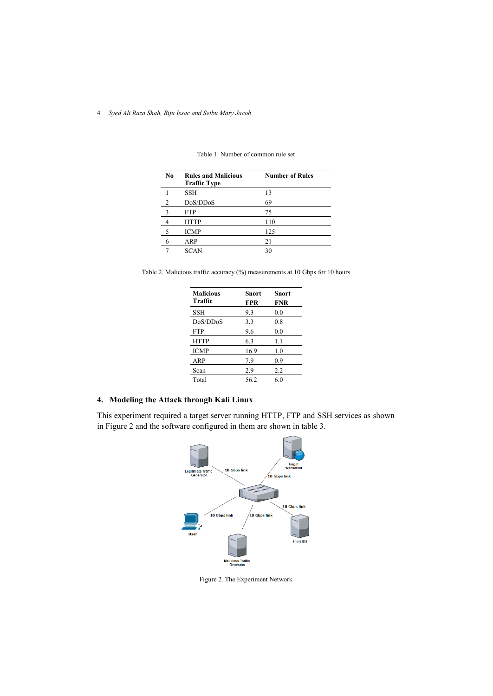| No.                     | <b>Rules and Malicious</b><br><b>Traffic Type</b> | <b>Number of Rules</b> |
|-------------------------|---------------------------------------------------|------------------------|
|                         | SSH                                               | 13                     |
| 2                       | DoS/DDoS                                          | 69                     |
| $\overline{\mathbf{3}}$ | FTP                                               | 75                     |
| $\overline{4}$          | <b>HTTP</b>                                       | 110                    |
| - 5                     | <b>ICMP</b>                                       | 125                    |
| 6                       | ARP                                               | 21                     |
|                         | <b>SCAN</b>                                       | 30                     |

Table 1. Number of common rule set

Table 2. Malicious traffic accuracy (%) measurements at 10 Gbps for 10 hours

| <b>Malicious</b><br><b>Traffic</b> | <b>Snort</b><br>FPR | Snort<br><b>FNR</b> |
|------------------------------------|---------------------|---------------------|
| <b>SSH</b>                         | 9.3                 | 0.0                 |
| DoS/DDoS                           | 3.3                 | 0.8                 |
| <b>FTP</b>                         | 9.6                 | 0.0                 |
| <b>HTTP</b>                        | 6.3                 | 1.1                 |
| <b>ICMP</b>                        | 16.9                | 1.0                 |
| ARP                                | 7.9                 | 0.9                 |
| Scan                               | 2.9                 | 2.2                 |
| Total                              | 56.2                | 6.0                 |

# **4. Modeling the Attack through Kali Linux**

This experiment required a target server running HTTP, FTP and SSH services as shown in Figure 2 and the software configured in them are shown in table 3.



Figure 2. The Experiment Network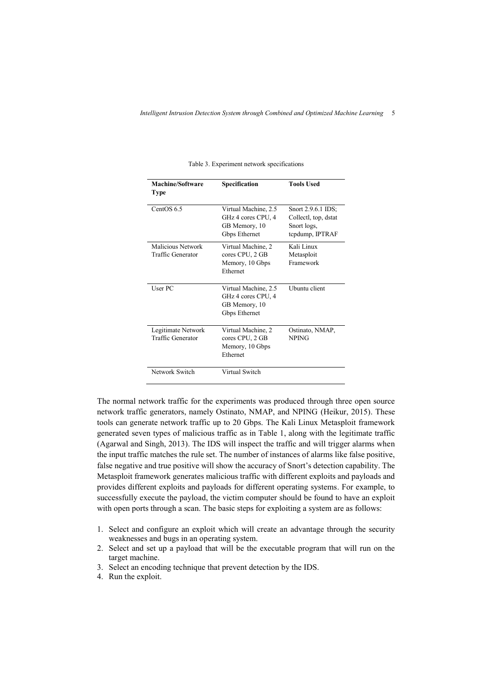| Machine/Software<br>Type                | Specification                                                                | <b>Tools Used</b>                                                            |
|-----------------------------------------|------------------------------------------------------------------------------|------------------------------------------------------------------------------|
| CentOS 6.5                              | Virtual Machine, 2.5<br>GHz 4 cores CPU, 4<br>GB Memory, 10<br>Gbps Ethernet | Snort 2.9.6.1 IDS;<br>Collectl, top, dstat<br>Snort logs,<br>tcpdump, IPTRAF |
| Malicious Network<br>Traffic Generator  | Virtual Machine, 2<br>cores CPU, 2 GB<br>Memory, 10 Gbps<br>Ethernet         | Kali Linux<br>Metasploit<br>Framework                                        |
| User PC                                 | Virtual Machine, 2.5<br>GHz 4 cores CPU, 4<br>GB Memory, 10<br>Gbps Ethernet | Uhuntu client                                                                |
| Legitimate Network<br>Traffic Generator | Virtual Machine, 2<br>cores CPU, 2 GB<br>Memory, 10 Gbps<br>Ethernet         | Ostinato, NMAP,<br><b>NPING</b>                                              |
| Network Switch                          | Virtual Switch                                                               |                                                                              |

Table 3. Experiment network specifications

The normal network traffic for the experiments was produced through three open source network traffic generators, namely Ostinato, NMAP, and NPING (Heikur, 2015). These tools can generate network traffic up to 20 Gbps. The Kali Linux Metasploit framework generated seven types of malicious traffic as in Table 1, along with the legitimate traffic (Agarwal and Singh, 2013). The IDS will inspect the traffic and will trigger alarms when the input traffic matches the rule set. The number of instances of alarms like false positive, false negative and true positive will show the accuracy of Snort's detection capability. The Metasploit framework generates malicious traffic with different exploits and payloads and provides different exploits and payloads for different operating systems. For example, to successfully execute the payload, the victim computer should be found to have an exploit with open ports through a scan. The basic steps for exploiting a system are as follows:

- 1. Select and configure an exploit which will create an advantage through the security weaknesses and bugs in an operating system.
- 2. Select and set up a payload that will be the executable program that will run on the target machine.
- 3. Select an encoding technique that prevent detection by the IDS.
- 4. Run the exploit.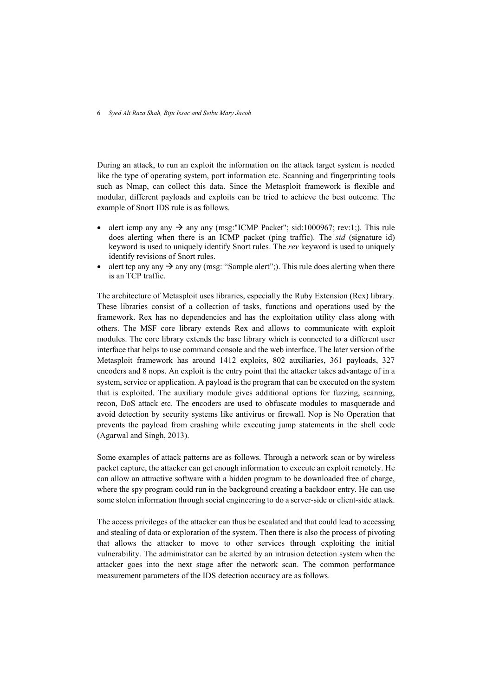During an attack, to run an exploit the information on the attack target system is needed like the type of operating system, port information etc. Scanning and fingerprinting tools such as Nmap, can collect this data. Since the Metasploit framework is flexible and modular, different payloads and exploits can be tried to achieve the best outcome. The example of Snort IDS rule is as follows.

- alert icmp any any  $\rightarrow$  any any (msg:"ICMP Packet"; sid:1000967; rev:1;). This rule does alerting when there is an ICMP packet (ping traffic). The *sid* (signature id) keyword is used to uniquely identify Snort rules. The *rev* keyword is used to uniquely identify revisions of Snort rules.
- alert tcp any any  $\rightarrow$  any any (msg: "Sample alert";). This rule does alerting when there is an TCP traffic.

The architecture of Metasploit uses libraries, especially the Ruby Extension (Rex) library. These libraries consist of a collection of tasks, functions and operations used by the framework. Rex has no dependencies and has the exploitation utility class along with others. The MSF core library extends Rex and allows to communicate with exploit modules. The core library extends the base library which is connected to a different user interface that helps to use command console and the web interface. The later version of the Metasploit framework has around 1412 exploits, 802 auxiliaries, 361 payloads, 327 encoders and 8 nops. An exploit is the entry point that the attacker takes advantage of in a system, service or application. A payload is the program that can be executed on the system that is exploited. The auxiliary module gives additional options for fuzzing, scanning, recon, DoS attack etc. The encoders are used to obfuscate modules to masquerade and avoid detection by security systems like antivirus or firewall. Nop is No Operation that prevents the payload from crashing while executing jump statements in the shell code (Agarwal and Singh, 2013).

Some examples of attack patterns are as follows. Through a network scan or by wireless packet capture, the attacker can get enough information to execute an exploit remotely. He can allow an attractive software with a hidden program to be downloaded free of charge, where the spy program could run in the background creating a backdoor entry. He can use some stolen information through social engineering to do a server-side or client-side attack.

The access privileges of the attacker can thus be escalated and that could lead to accessing and stealing of data or exploration of the system. Then there is also the process of pivoting that allows the attacker to move to other services through exploiting the initial vulnerability. The administrator can be alerted by an intrusion detection system when the attacker goes into the next stage after the network scan. The common performance measurement parameters of the IDS detection accuracy are as follows.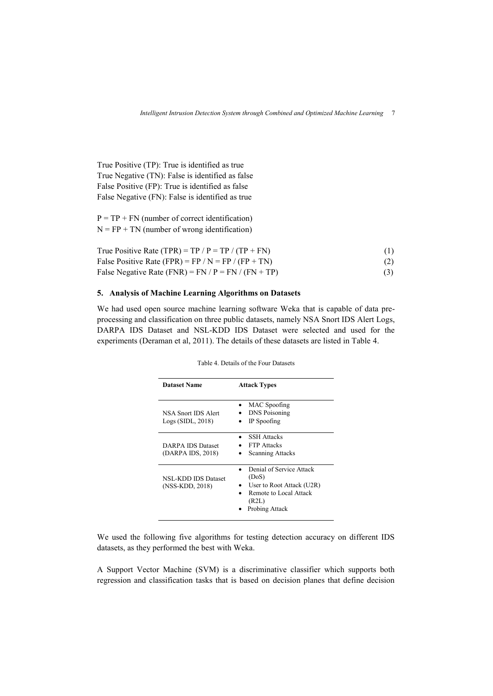True Positive (TP): True is identified as true True Negative (TN): False is identified as false False Positive (FP): True is identified as false False Negative (FN): False is identified as true

 $P = TP + FN$  (number of correct identification)  $N = FP + TN$  (number of wrong identification)

| True Positive Rate (TPR) = TP / $P = TP / (TP + FN)$  | (1) |
|-------------------------------------------------------|-----|
| False Positive Rate (FPR) = FP / N = FP / (FP + TN)   | (2) |
| False Negative Rate (FNR) = FN / $P = FN / (FN + TP)$ |     |

# **5. Analysis of Machine Learning Algorithms on Datasets**

We had used open source machine learning software Weka that is capable of data preprocessing and classification on three public datasets, namely NSA Snort IDS Alert Logs, DARPA IDS Dataset and NSL-KDD IDS Dataset were selected and used for the experiments (Deraman et al, 2011). The details of these datasets are listed in Table 4.

| <b>Dataset Name</b>                           | <b>Attack Types</b>                                                                                                 |  |  |  |
|-----------------------------------------------|---------------------------------------------------------------------------------------------------------------------|--|--|--|
| NSA Snort IDS Alert<br>Logs(SIDL, 2018)       | MAC Spoofing<br><b>DNS</b> Poisoning<br>IP Spoofing                                                                 |  |  |  |
| DARPA IDS Dataset<br>(DARPA IDS, 2018)        | <b>SSH Attacks</b><br><b>FTP</b> Attacks<br><b>Scanning Attacks</b>                                                 |  |  |  |
| <b>NSL-KDD IDS Dataset</b><br>(NSS-KDD, 2018) | Denial of Service Attack<br>(DoS)<br>User to Root Attack (U2R)<br>Remote to Local Attack<br>(R2L)<br>Probing Attack |  |  |  |

Table 4. Details of the Four Datasets

We used the following five algorithms for testing detection accuracy on different IDS datasets, as they performed the best with Weka.

A Support Vector Machine (SVM) is a discriminative classifier which supports both regression and classification tasks that is based on decision planes that define decision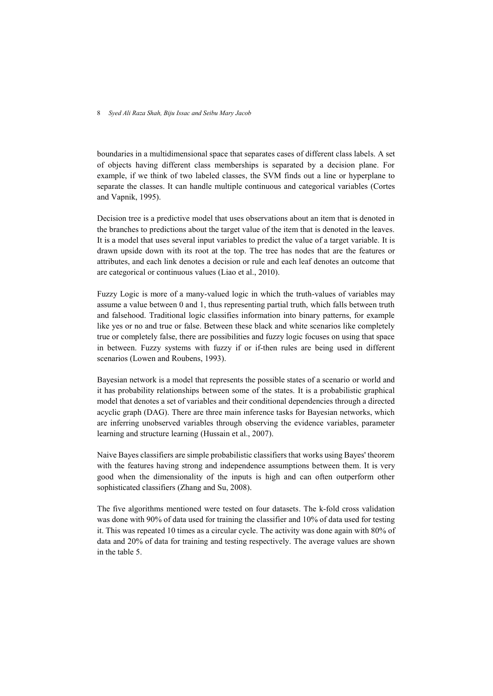boundaries in a multidimensional space that separates cases of different class labels. A set of objects having different class memberships is separated by a decision plane. For example, if we think of two labeled classes, the SVM finds out a line or hyperplane to separate the classes. It can handle multiple continuous and categorical variables (Cortes and Vapnik, 1995).

Decision tree is a predictive model that uses observations about an item that is denoted in the branches to predictions about the target value of the item that is denoted in the leaves. It is a model that uses several input variables to predict the value of a target variable. It is drawn upside down with its root at the top. The tree has nodes that are the features or attributes, and each link denotes a decision or rule and each leaf denotes an outcome that are categorical or continuous values (Liao et al., 2010).

Fuzzy Logic is more of a many-valued logic in which the truth-values of variables may assume a value between 0 and 1, thus representing partial truth, which falls between truth and falsehood. Traditional logic classifies information into binary patterns, for example like yes or no and true or false. Between these black and white scenarios like completely true or completely false, there are possibilities and fuzzy logic focuses on using that space in between. Fuzzy systems with fuzzy if or if-then rules are being used in different scenarios (Lowen and Roubens, 1993).

Bayesian network is a model that represents the possible states of a scenario or world and it has probability relationships between some of the states. It is a probabilistic graphical model that denotes a set of variables and their conditional dependencies through a directed acyclic graph (DAG). There are three main inference tasks for Bayesian networks, which are inferring unobserved variables through observing the evidence variables, parameter learning and structure learning (Hussain et al., 2007).

Naive Bayes classifiers are simple probabilistic classifiers that works using Bayes' theorem with the features having strong and independence assumptions between them. It is very good when the dimensionality of the inputs is high and can often outperform other sophisticated classifiers (Zhang and Su, 2008).

The five algorithms mentioned were tested on four datasets. The k-fold cross validation was done with 90% of data used for training the classifier and 10% of data used for testing it. This was repeated 10 times as a circular cycle. The activity was done again with 80% of data and 20% of data for training and testing respectively. The average values are shown in the table 5.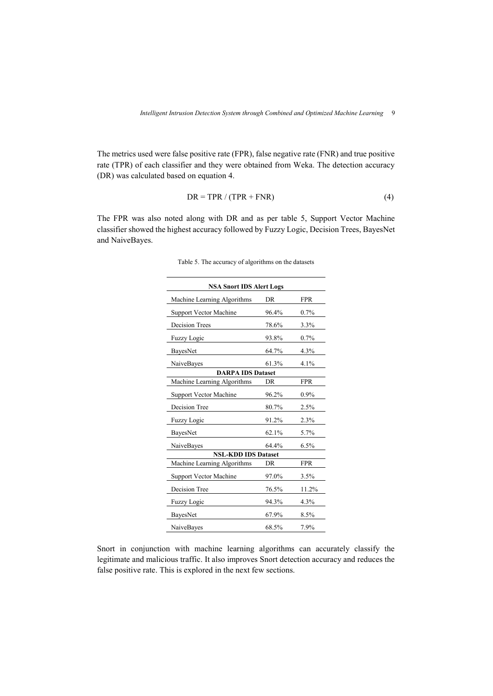The metrics used were false positive rate (FPR), false negative rate (FNR) and true positive rate (TPR) of each classifier and they were obtained from Weka. The detection accuracy (DR) was calculated based on equation 4.

$$
DR = TPR / (TPR + FNR)
$$
 (4)

The FPR was also noted along with DR and as per table 5, Support Vector Machine classifier showed the highest accuracy followed by Fuzzy Logic, Decision Trees, BayesNet and NaiveBayes.

| <b>NSA Snort IDS Alert Logs</b> |           |            |  |  |  |
|---------------------------------|-----------|------------|--|--|--|
| Machine Learning Algorithms     | <b>DR</b> | <b>FPR</b> |  |  |  |
| Support Vector Machine          | 96.4%     | $0.7\%$    |  |  |  |
| <b>Decision Trees</b>           | 78.6%     | 3.3%       |  |  |  |
| <b>Fuzzy Logic</b>              | 93.8%     | 0.7%       |  |  |  |
| BayesNet                        | 64.7%     | 4.3%       |  |  |  |
| NaiveBayes                      | 61.3%     | 4.1%       |  |  |  |
| <b>DARPA IDS Dataset</b>        |           |            |  |  |  |
| Machine Learning Algorithms     | DR        | <b>FPR</b> |  |  |  |
| Support Vector Machine          | 96.2%     | $0.9\%$    |  |  |  |
| Decision Tree                   | 80.7%     | 2.5%       |  |  |  |
| <b>Fuzzy Logic</b>              | 91.2%     | 2.3%       |  |  |  |
| BayesNet                        | 62.1%     | 5.7%       |  |  |  |
| NaiveBayes                      | 64.4%     | 6.5%       |  |  |  |
| <b>NSL-KDD IDS Dataset</b>      |           |            |  |  |  |
| Machine Learning Algorithms     | DR        | <b>FPR</b> |  |  |  |
| Support Vector Machine          | 97.0%     | 3.5%       |  |  |  |
| Decision Tree                   | 76.5%     | 11.2%      |  |  |  |
| <b>Fuzzy Logic</b>              | 94.3%     | 4.3%       |  |  |  |
| BayesNet                        | 67.9%     | 8.5%       |  |  |  |
| NaiveBayes                      | 68.5%     | 7.9%       |  |  |  |

Table 5. The accuracy of algorithms on the datasets

Snort in conjunction with machine learning algorithms can accurately classify the legitimate and malicious traffic. It also improves Snort detection accuracy and reduces the false positive rate. This is explored in the next few sections.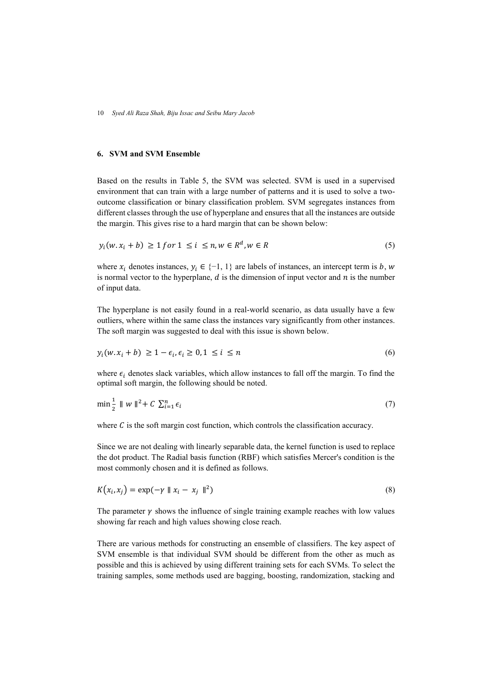### **6. SVM and SVM Ensemble**

Based on the results in Table 5, the SVM was selected. SVM is used in a supervised environment that can train with a large number of patterns and it is used to solve a twooutcome classification or binary classification problem. SVM segregates instances from different classes through the use of hyperplane and ensures that all the instances are outside the margin. This gives rise to a hard margin that can be shown below:

$$
y_i(w, x_i + b) \ge 1 \text{ for } 1 \le i \le n, w \in R^d, w \in R
$$
\n
$$
(5)
$$

where  $x_i$  denotes instances,  $y_i \in \{-1, 1\}$  are labels of instances, an intercept term is b, w is normal vector to the hyperplane,  $d$  is the dimension of input vector and  $n$  is the number of input data.

The hyperplane is not easily found in a real-world scenario, as data usually have a few outliers, where within the same class the instances vary significantly from other instances. The soft margin was suggested to deal with this issue is shown below.

$$
y_i(w \cdot x_i + b) \ge 1 - \epsilon_i, \epsilon_i \ge 0, 1 \le i \le n
$$
\n<sup>(6)</sup>

where  $\epsilon_i$  denotes slack variables, which allow instances to fall off the margin. To find the optimal soft margin, the following should be noted.

$$
\min_{\mathbf{z}} \mathbf{1} \parallel w \parallel^{2} + C \sum_{i=1}^{n} \epsilon_{i} \tag{7}
$$

where  $C$  is the soft margin cost function, which controls the classification accuracy.

Since we are not dealing with linearly separable data, the kernel function is used to replace the dot product. The Radial basis function (RBF) which satisfies Mercer's condition is the most commonly chosen and it is defined as follows.

$$
K(x_i, x_j) = \exp(-\gamma \parallel x_i - x_j \parallel^2)
$$
\n(8)

The parameter  $\gamma$  shows the influence of single training example reaches with low values showing far reach and high values showing close reach.

There are various methods for constructing an ensemble of classifiers. The key aspect of SVM ensemble is that individual SVM should be different from the other as much as possible and this is achieved by using different training sets for each SVMs. To select the training samples, some methods used are bagging, boosting, randomization, stacking and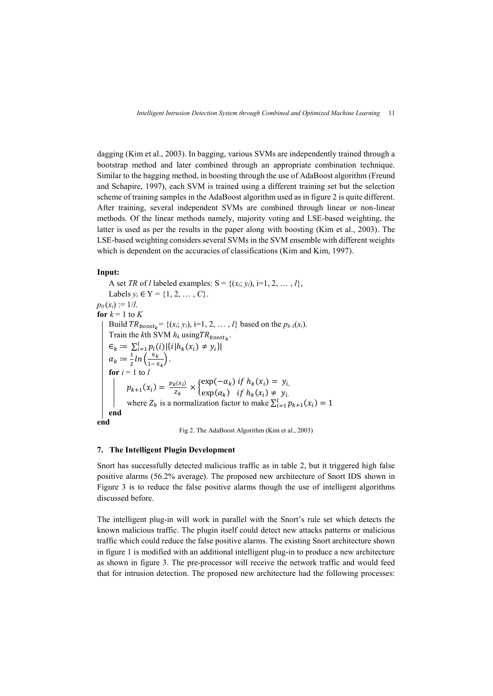dagging (Kim et al., 2003). In bagging, various SVMs are independently trained through a bootstrap method and later combined through an appropriate combination technique. Similar to the bagging method, in boosting through the use of AdaBoost algorithm (Freund and Schapire, 1997), each SVM is trained using a different training set but the selection scheme of training samples in the AdaBoost algorithm used as in figure 2 is quite different. After training, several independent SVMs are combined through linear or non-linear methods. Of the linear methods namely, majority voting and LSE-based weighting, the latter is used as per the results in the paper along with boosting (Kim et al., 2003). The LSE-based weighting considers several SVMs in the SVM ensemble with different weights which is dependent on the accuracies of classifications (Kim and Kim, 1997).

#### **Input:**

A set *TR* of *l* labeled examples:  $S = \{(x_i, y_i), i=1, 2, ..., l\}$ , Labels *y<sub>i</sub>* ∈ *Y* = {1, 2, ..., *C*}.  $p_0(x_i) := 1/l$ . **for**  $k = 1$  to  $K$ Build  $TR_{boost_k} = \{(x_i, y_i), i=1, 2, ..., l\}$  based on the  $p_{k-l}(x_i)$ . Train the *k*th SVM  $h_k$  using  $TR_{boost_k}$ .  $\epsilon_k := \sum_{i=1}^l p_i(i) |\{i | h_k(x_i) \neq y_i\}|$  $\alpha_k \coloneqq \frac{1}{2}$  $rac{1}{2}ln\left(\frac{\epsilon_k}{1-\epsilon}\right)$  $\frac{\epsilon_k}{1-\epsilon_k}$ . **for**  $i = 1$  to  $l$  $p_{k+1}(x_i) = \frac{p_k(x_i)}{z_i}$  $\frac{\partial_{k}(x_{i})}{\partial z_{k}} \times \begin{cases} \exp(-\alpha_{k}) & \text{if } h_{k}(x_{i}) = y_{i,} \\ \exp(\alpha_{k}) & \text{if } h_{k}(x_{i}) \neq y_{i,} \end{cases}$  $\exp(\alpha_k)$  if  $h_k(x_i) \neq y_i$ . where  $Z_k$  is a normalization factor to make  $\sum_{i=1}^{l} p_{k+1}(x_i) = 1$ **end end**



# **7. The Intelligent Plugin Development**

Snort has successfully detected malicious traffic as in table 2, but it triggered high false positive alarms (56.2% average). The proposed new architecture of Snort IDS shown in Figure 3 is to reduce the false positive alarms though the use of intelligent algorithms discussed before.

The intelligent plug-in will work in parallel with the Snort's rule set which detects the known malicious traffic. The plugin itself could detect new attacks patterns or malicious traffic which could reduce the false positive alarms. The existing Snort architecture shown in figure 1 is modified with an additional intelligent plug-in to produce a new architecture as shown in figure 3. The pre-processor will receive the network traffic and would feed that for intrusion detection. The proposed new architecture had the following processes: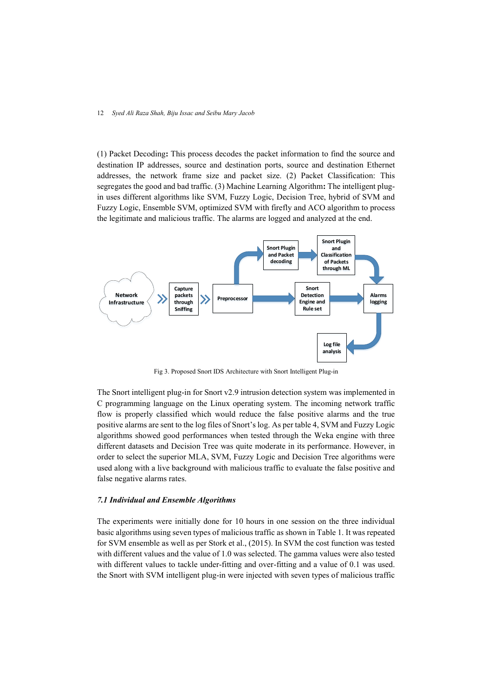(1) Packet Decoding**:** This process decodes the packet information to find the source and destination IP addresses, source and destination ports, source and destination Ethernet addresses, the network frame size and packet size. (2) Packet Classification: This segregates the good and bad traffic. (3) Machine Learning Algorithm**:** The intelligent plugin uses different algorithms like SVM, Fuzzy Logic, Decision Tree, hybrid of SVM and Fuzzy Logic, Ensemble SVM, optimized SVM with firefly and ACO algorithm to process the legitimate and malicious traffic. The alarms are logged and analyzed at the end.



Fig 3. Proposed Snort IDS Architecture with Snort Intelligent Plug-in

The Snort intelligent plug-in for Snort v2.9 intrusion detection system was implemented in C programming language on the Linux operating system. The incoming network traffic flow is properly classified which would reduce the false positive alarms and the true positive alarms are sent to the log files of Snort's log. As per table 4, SVM and Fuzzy Logic algorithms showed good performances when tested through the Weka engine with three different datasets and Decision Tree was quite moderate in its performance. However, in order to select the superior MLA, SVM, Fuzzy Logic and Decision Tree algorithms were used along with a live background with malicious traffic to evaluate the false positive and false negative alarms rates.

#### *7.1 Individual and Ensemble Algorithms*

The experiments were initially done for 10 hours in one session on the three individual basic algorithms using seven types of malicious traffic as shown in Table 1. It was repeated for SVM ensemble as well as per Stork et al., (2015). In SVM the cost function was tested with different values and the value of 1.0 was selected. The gamma values were also tested with different values to tackle under-fitting and over-fitting and a value of 0.1 was used. the Snort with SVM intelligent plug-in were injected with seven types of malicious traffic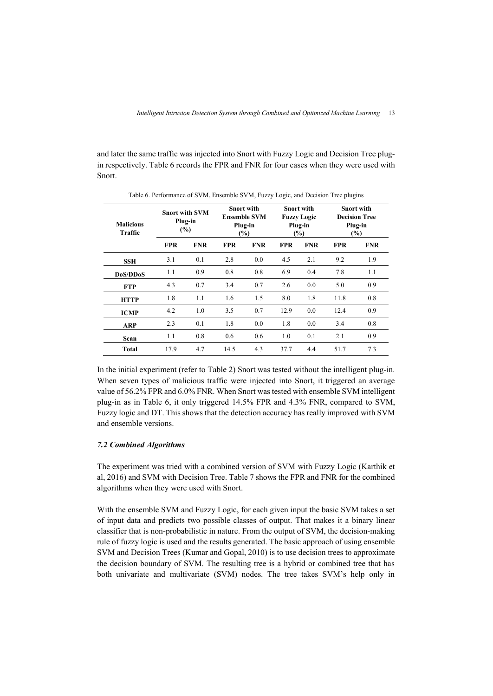and later the same traffic was injected into Snort with Fuzzy Logic and Decision Tree plugin respectively. Table 6 records the FPR and FNR for four cases when they were used with Snort.

| <b>Malicious</b><br>Traffic |            | <b>Snort with SVM</b><br>Plug-in<br>$(\%)$ |            | <b>Snort with</b><br><b>Ensemble SVM</b><br>Plug-in<br>(%) |            | <b>Snort with</b><br><b>Fuzzy Logic</b><br>Plug-in<br>(%) |            | <b>Snort with</b><br><b>Decision Tree</b><br>Plug-in<br>$(\%)$ |
|-----------------------------|------------|--------------------------------------------|------------|------------------------------------------------------------|------------|-----------------------------------------------------------|------------|----------------------------------------------------------------|
|                             | <b>FPR</b> | <b>FNR</b>                                 | <b>FPR</b> | <b>FNR</b>                                                 | <b>FPR</b> | <b>FNR</b>                                                | <b>FPR</b> | <b>FNR</b>                                                     |
| <b>SSH</b>                  | 3.1        | 0.1                                        | 2.8        | 0.0                                                        | 4.5        | 2.1                                                       | 9.2        | 1.9                                                            |
| DoS/DDoS                    | 1.1        | 0.9                                        | 0.8        | 0.8                                                        | 6.9        | 0.4                                                       | 7.8        | 1.1                                                            |
| <b>FTP</b>                  | 4.3        | 0.7                                        | 3.4        | 0.7                                                        | 2.6        | 0.0                                                       | 5.0        | 0.9                                                            |
| <b>HTTP</b>                 | 1.8        | 1.1                                        | 1.6        | 1.5                                                        | 8.0        | 1.8                                                       | 11.8       | 0.8                                                            |
| <b>ICMP</b>                 | 4.2        | 1.0                                        | 3.5        | 0.7                                                        | 12.9       | 0.0                                                       | 12.4       | 0.9                                                            |
| <b>ARP</b>                  | 2.3        | 0.1                                        | 1.8        | 0.0                                                        | 1.8        | 0.0                                                       | 3.4        | 0.8                                                            |
| Scan                        | 1.1        | 0.8                                        | 0.6        | 0.6                                                        | 1.0        | 0.1                                                       | 2.1        | 0.9                                                            |
| <b>Total</b>                | 17.9       | 4.7                                        | 14.5       | 4.3                                                        | 37.7       | 4.4                                                       | 51.7       | 7.3                                                            |

Table 6. Performance of SVM, Ensemble SVM, Fuzzy Logic, and Decision Tree plugins

In the initial experiment (refer to Table 2) Snort was tested without the intelligent plug-in. When seven types of malicious traffic were injected into Snort, it triggered an average value of 56.2% FPR and 6.0% FNR. When Snort was tested with ensemble SVM intelligent plug-in as in Table 6, it only triggered 14.5% FPR and 4.3% FNR, compared to SVM, Fuzzy logic and DT. This shows that the detection accuracy has really improved with SVM and ensemble versions.

### *7.2 Combined Algorithms*

The experiment was tried with a combined version of SVM with Fuzzy Logic (Karthik et al, 2016) and SVM with Decision Tree. Table 7 shows the FPR and FNR for the combined algorithms when they were used with Snort.

With the ensemble SVM and Fuzzy Logic, for each given input the basic SVM takes a set of input data and predicts two possible classes of output. That makes it a binary linear classifier that is non-probabilistic in nature. From the output of SVM, the decision-making rule of fuzzy logic is used and the results generated. The basic approach of using ensemble SVM and Decision Trees (Kumar and Gopal, 2010) is to use decision trees to approximate the decision boundary of SVM. The resulting tree is a hybrid or combined tree that has both univariate and multivariate (SVM) nodes. The tree takes SVM's help only in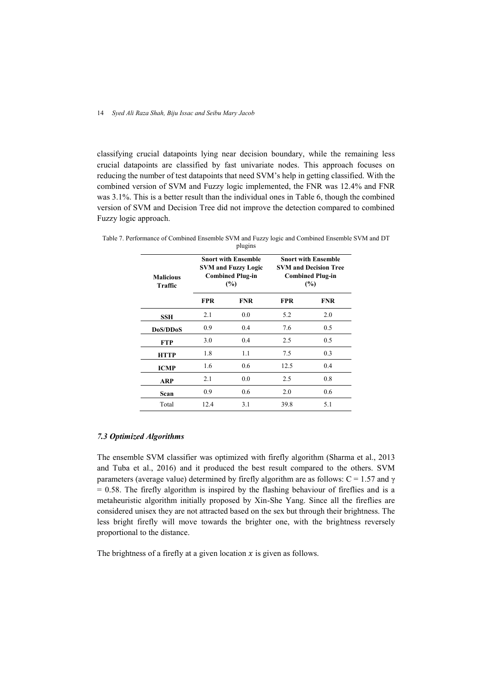classifying crucial datapoints lying near decision boundary, while the remaining less crucial datapoints are classified by fast univariate nodes. This approach focuses on reducing the number of test datapoints that need SVM's help in getting classified. With the combined version of SVM and Fuzzy logic implemented, the FNR was 12.4% and FNR was 3.1%. This is a better result than the individual ones in Table 6, though the combined version of SVM and Decision Tree did not improve the detection compared to combined Fuzzy logic approach.

| <b>Malicious</b><br>Traffic |            | <b>Snort with Ensemble</b><br><b>SVM and Fuzzy Logic</b><br><b>Combined Plug-in</b><br>$(\%)$ | <b>Snort with Ensemble</b><br><b>SVM and Decision Tree</b><br><b>Combined Plug-in</b><br>(%) |            |  |  |
|-----------------------------|------------|-----------------------------------------------------------------------------------------------|----------------------------------------------------------------------------------------------|------------|--|--|
|                             | <b>FPR</b> | <b>FNR</b>                                                                                    | <b>FPR</b>                                                                                   | <b>FNR</b> |  |  |
| <b>SSH</b>                  | 2.1        | 0.0                                                                                           | 5.2                                                                                          | 2.0        |  |  |
| DoS/DDoS                    | 0.9        | 0.4                                                                                           | 7.6                                                                                          | 0.5        |  |  |
| <b>FTP</b>                  | 3.0        | 0.4                                                                                           | 2.5                                                                                          | 0.5        |  |  |
| <b>HTTP</b>                 | 1.8        | 1.1                                                                                           | 7.5                                                                                          | 0.3        |  |  |
| <b>ICMP</b>                 | 1.6        | 0.6                                                                                           | 12.5                                                                                         | 0.4        |  |  |
| ARP                         | 2.1        | 0.0                                                                                           | 2.5                                                                                          | 0.8        |  |  |
| Scan                        | 0.9        | 0.6                                                                                           | 2.0                                                                                          | 0.6        |  |  |
| Total                       | 12.4       | 3.1                                                                                           | 39.8                                                                                         | 5.1        |  |  |

Table 7. Performance of Combined Ensemble SVM and Fuzzy logic and Combined Ensemble SVM and DT plugins

### *7.3 Optimized Algorithms*

The ensemble SVM classifier was optimized with firefly algorithm (Sharma et al., 2013 and Tuba et al., 2016) and it produced the best result compared to the others. SVM parameters (average value) determined by firefly algorithm are as follows:  $C = 1.57$  and  $\gamma$  $= 0.58$ . The firefly algorithm is inspired by the flashing behaviour of fireflies and is a metaheuristic algorithm initially proposed by Xin-She Yang. Since all the fireflies are considered unisex they are not attracted based on the sex but through their brightness. The less bright firefly will move towards the brighter one, with the brightness reversely proportional to the distance.

The brightness of a firefly at a given location  $x$  is given as follows.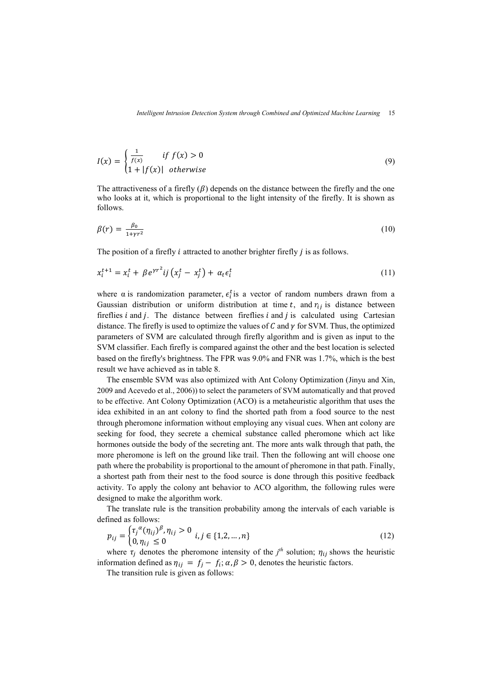$$
I(x) = \begin{cases} \frac{1}{f(x)} & \text{if } f(x) > 0\\ 1 + |f(x)| & \text{otherwise} \end{cases}
$$
(9)

The attractiveness of a firefly  $(\beta)$  depends on the distance between the firefly and the one who looks at it, which is proportional to the light intensity of the firefly. It is shown as follows.

$$
\beta(r) = \frac{\beta_0}{1 + \gamma r^2} \tag{10}
$$

The position of a firefly  $i$  attracted to another brighter firefly  $j$  is as follows.

$$
x_i^{t+1} = x_i^t + \beta e^{\gamma r^2} i j \left( x_j^t - x_j^t \right) + \alpha_t \epsilon_i^t \tag{11}
$$

where a is randomization parameter,  $\epsilon_i^t$  is a vector of random numbers drawn from a Gaussian distribution or uniform distribution at time t, and  $r_{ij}$  is distance between fireflies  $i$  and  $j$ . The distance between fireflies  $i$  and  $j$  is calculated using Cartesian distance. The firefly is used to optimize the values of  $C$  and  $\gamma$  for SVM. Thus, the optimized parameters of SVM are calculated through firefly algorithm and is given as input to the SVM classifier. Each firefly is compared against the other and the best location is selected based on the firefly's brightness. The FPR was 9.0% and FNR was 1.7%, which is the best result we have achieved as in table 8.

The ensemble SVM was also optimized with Ant Colony Optimization (Jinyu and Xin, 2009 and Acevedo et al., 2006)) to select the parameters of SVM automatically and that proved to be effective. Ant Colony Optimization (ACO) is a metaheuristic algorithm that uses the idea exhibited in an ant colony to find the shorted path from a food source to the nest through pheromone information without employing any visual cues. When ant colony are seeking for food, they secrete a chemical substance called pheromone which act like hormones outside the body of the secreting ant. The more ants walk through that path, the more pheromone is left on the ground like trail. Then the following ant will choose one path where the probability is proportional to the amount of pheromone in that path. Finally, a shortest path from their nest to the food source is done through this positive feedback activity. To apply the colony ant behavior to ACO algorithm, the following rules were designed to make the algorithm work.

The translate rule is the transition probability among the intervals of each variable is defined as follows:

$$
p_{ij} = \begin{cases} \tau_j^{\alpha}(\eta_{ij})^{\beta}, \eta_{ij} > 0 \\ 0, \eta_{ij} \le 0 \end{cases} i, j \in \{1, 2, ..., n\}
$$
 (12)

where  $\tau_j$  denotes the pheromone intensity of the  $j^{th}$  solution;  $\eta_{ij}$  shows the heuristic information defined as  $\eta_{ij} = f_j - f_i$ ;  $\alpha, \beta > 0$ , denotes the heuristic factors.

The transition rule is given as follows: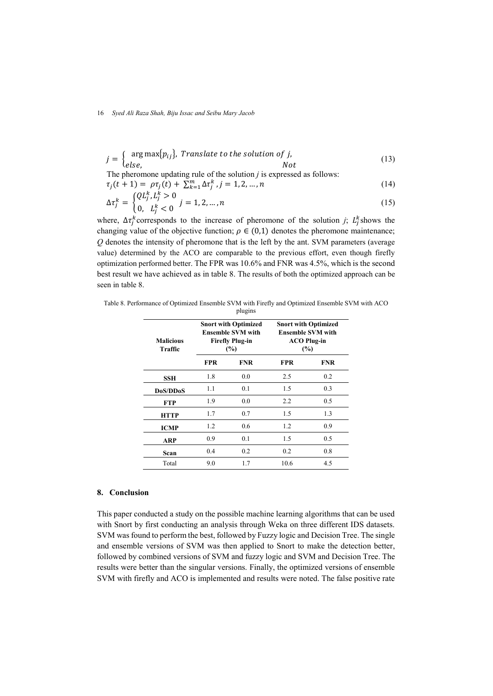$$
j = \begin{cases} \arg \max\{p_{ij}\}, & \text{ Translate to the solution of } j, \\ \text{else,} & \text{Not} \end{cases} \tag{13}
$$

The pheromone updating rule of the solution *j* is expressed as follows:<br> $\tau_i(t+1) = \alpha \tau_i(t) + \sum_{k=1}^{m} \Delta \tau_k^k$   $i = 1, 2, \ldots, n$ 

$$
\tau_j(t+1) = \rho \tau_j(t) + \sum_{k=1}^m \Delta \tau_j^k, j = 1, 2, ..., n
$$
\n
$$
\Delta \tau_k = \begin{cases} Q L_j^k, L_j^k > 0 \\ 0 & j = 1, 2, ..., n \end{cases} \tag{15}
$$

$$
\Delta \tau_j^k = \begin{cases} \n\mathcal{L}^{k} & j = 1, 2, \dots, n \\ \n0, \quad L_j^k < 0 \n\end{cases} \tag{15}
$$

where,  $\Delta \tau_j^k$  corresponds to the increase of pheromone of the solution *j*;  $L_j^k$  shows the changing value of the objective function;  $\rho \in (0,1)$  denotes the pheromone maintenance; *Q* denotes the intensity of pheromone that is the left by the ant. SVM parameters (average value) determined by the ACO are comparable to the previous effort, even though firefly optimization performed better. The FPR was 10.6% and FNR was 4.5%, which is the second best result we have achieved as in table 8. The results of both the optimized approach can be seen in table 8.

Table 8. Performance of Optimized Ensemble SVM with Firefly and Optimized Ensemble SVM with ACO plugins

| <b>Malicious</b><br>Traffic |            | <b>Snort with Optimized</b><br><b>Ensemble SVM with</b><br><b>Firefly Plug-in</b><br>(%) | <b>Snort with Optimized</b><br><b>Ensemble SVM with</b><br><b>ACO Plug-in</b><br>(%) |            |  |
|-----------------------------|------------|------------------------------------------------------------------------------------------|--------------------------------------------------------------------------------------|------------|--|
|                             | <b>FPR</b> | <b>FNR</b>                                                                               | <b>FPR</b>                                                                           | <b>FNR</b> |  |
| SSH                         | 1.8        | 0.0                                                                                      | 2.5                                                                                  | 0.2        |  |
| DoS/DDoS                    | 1.1        | 0.1                                                                                      | 1.5                                                                                  | 0.3        |  |
| <b>FTP</b>                  | 1.9        | 0.0                                                                                      | 2.2                                                                                  | 0.5        |  |
| <b>HTTP</b>                 | 1.7        | 0.7                                                                                      | 1.5                                                                                  | 1.3        |  |
| <b>ICMP</b>                 | 1.2        | $0.6^{\circ}$                                                                            | 1.2                                                                                  | 0.9        |  |
| <b>ARP</b>                  | 0.9        | 0.1                                                                                      | 1.5                                                                                  | 0.5        |  |
| Scan                        | 0.4        | 0.2                                                                                      | 0.2                                                                                  | 0.8        |  |
| Total                       | 9.0        | 1.7                                                                                      | 10.6                                                                                 | 4.5        |  |

# **8. Conclusion**

This paper conducted a study on the possible machine learning algorithms that can be used with Snort by first conducting an analysis through Weka on three different IDS datasets. SVM was found to perform the best, followed by Fuzzy logic and Decision Tree. The single and ensemble versions of SVM was then applied to Snort to make the detection better, followed by combined versions of SVM and fuzzy logic and SVM and Decision Tree. The results were better than the singular versions. Finally, the optimized versions of ensemble SVM with firefly and ACO is implemented and results were noted. The false positive rate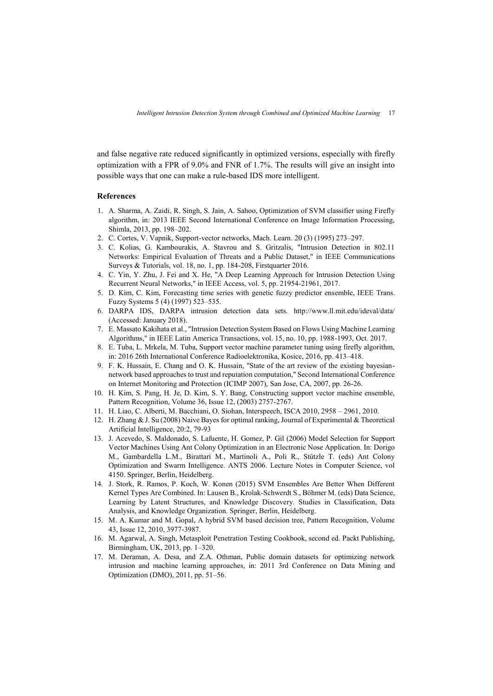and false negative rate reduced significantly in optimized versions, especially with firefly optimization with a FPR of 9.0% and FNR of 1.7%. The results will give an insight into possible ways that one can make a rule-based IDS more intelligent.

### **References**

- 1. A. Sharma, A. Zaidi, R. Singh, S. Jain, A. Sahoo, Optimization of SVM classifier using Firefly algorithm, in: 2013 IEEE Second International Conference on Image Information Processing, Shimla, 2013, pp. 198–202.
- 2. C. Cortes, V. Vapnik, Support-vector networks, Mach. Learn. 20 (3) (1995) 273–297.
- 3. C. Kolias, G. Kambourakis, A. Stavrou and S. Gritzalis, "Intrusion Detection in 802.11 Networks: Empirical Evaluation of Threats and a Public Dataset," in IEEE Communications Surveys & Tutorials, vol. 18, no. 1, pp. 184-208, Firstquarter 2016.
- 4. C. Yin, Y. Zhu, J. Fei and X. He, "A Deep Learning Approach for Intrusion Detection Using Recurrent Neural Networks," in IEEE Access, vol. 5, pp. 21954-21961, 2017.
- 5. D. Kim, C. Kim, Forecasting time series with genetic fuzzy predictor ensemble, IEEE Trans. Fuzzy Systems 5 (4) (1997) 523–535.
- 6. DARPA IDS, DARPA intrusion detection data sets. http://www.ll.mit.edu/ideval/data/ (Accessed: January 2018).
- 7. E. Massato Kakihata et al., "Intrusion Detection System Based on Flows Using Machine Learning Algorithms," in IEEE Latin America Transactions, vol. 15, no. 10, pp. 1988-1993, Oct. 2017.
- 8. E. Tuba, L. Mrkela, M. Tuba, Support vector machine parameter tuning using firefly algorithm, in: 2016 26th International Conference Radioelektronika, Kosice, 2016, pp. 413–418.
- 9. F. K. Hussain, E. Chang and O. K. Hussain, "State of the art review of the existing bayesiannetwork based approaches to trust and reputation computation," Second International Conference on Internet Monitoring and Protection (ICIMP 2007), San Jose, CA, 2007, pp. 26-26.
- 10. H. Kim, S. Pang, H. Je, D. Kim, S. Y. Bang, Constructing support vector machine ensemble, Pattern Recognition, Volume 36, Issue 12, (2003) 2757-2767.
- 11. H. Liao, C. Alberti, M. Bacchiani, O. Siohan, Interspeech, ISCA 2010, 2958 2961, 2010.
- 12. H. Zhang & J. Su (2008) Naive Bayes for optimal ranking, Journal of Experimental & Theoretical Artificial Intelligence, 20:2, 79-93
- 13. J. Acevedo, S. Maldonado, S. Lafuente, H. Gomez, P. Gil (2006) Model Selection for Support Vector Machines Using Ant Colony Optimization in an Electronic Nose Application. In: Dorigo M., Gambardella L.M., Birattari M., Martinoli A., Poli R., Stützle T. (eds) Ant Colony Optimization and Swarm Intelligence. ANTS 2006. Lecture Notes in Computer Science, vol 4150. Springer, Berlin, Heidelberg.
- 14. J. Stork, R. Ramos, P. Koch, W. Konen (2015) SVM Ensembles Are Better When Different Kernel Types Are Combined. In: Lausen B., Krolak-Schwerdt S., Böhmer M. (eds) Data Science, Learning by Latent Structures, and Knowledge Discovery. Studies in Classification, Data Analysis, and Knowledge Organization. Springer, Berlin, Heidelberg.
- 15. M. A. Kumar and M. Gopal, A hybrid SVM based decision tree, Pattern Recognition, Volume 43, Issue 12, 2010, 3977-3987.
- 16. M. Agarwal, A. Singh, Metasploit Penetration Testing Cookbook, second ed. Packt Publishing, Birmingham, UK, 2013, pp. 1–320.
- 17. M. Deraman, A. Desa, and Z.A. Othman, Public domain datasets for optimizing network intrusion and machine learning approaches, in: 2011 3rd Conference on Data Mining and Optimization (DMO), 2011, pp. 51–56.